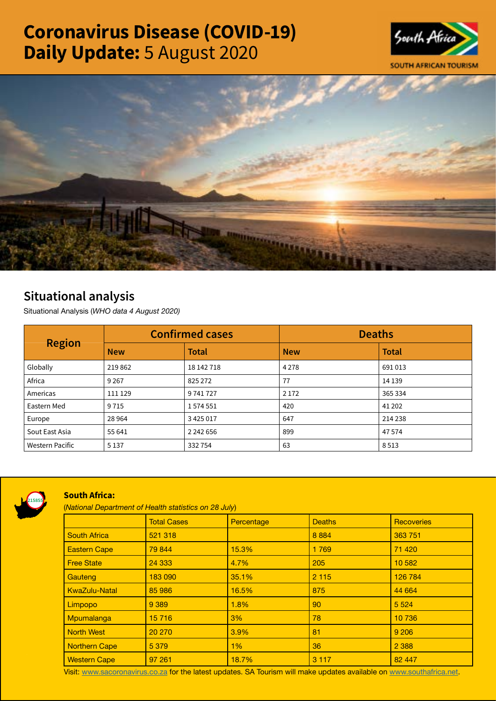# Coronavirus Disease (COVID-19) Daily Update: 5 August 2020





## Situational analysis

Situational Analysis (*WHO data 4 August 2020)*

| <b>Region</b>          | <b>Confirmed cases</b> |               | <b>Deaths</b> |              |
|------------------------|------------------------|---------------|---------------|--------------|
|                        | <b>New</b>             | <b>Total</b>  | <b>New</b>    | <b>Total</b> |
| Globally               | 219862                 | 18 142 718    | 4 2 7 8       | 691013       |
| Africa                 | 9 2 6 7                | 825 272       | 77            | 14 1 39      |
| Americas               | 111 129                | 9741727       | 2 1 7 2       | 365 334      |
| Eastern Med            | 9715                   | 1574551       | 420           | 41 202       |
| Europe                 | 28 9 64                | 3 4 2 5 0 1 7 | 647           | 214 238      |
| Sout East Asia         | 55 641                 | 2 242 656     | 899           | 47 574       |
| <b>Western Pacific</b> | 5 1 3 7                | 332754        | 63            | 8513         |



### South Africa:

(*National Department of Health statistics on 28 July*)

|                      | <b>Total Cases</b> | Percentage | <b>Deaths</b> | <b>Recoveries</b> |  |
|----------------------|--------------------|------------|---------------|-------------------|--|
| <b>South Africa</b>  | 521 318            |            | 8 8 8 4       | 363 751           |  |
| <b>Eastern Cape</b>  | 79 844             | 15.3%      | 1769          | 71 4 20           |  |
| <b>Free State</b>    | 24 3 33            | 4.7%       | 205           | 10 582            |  |
| Gauteng              | 183 090            | 35.1%      | 2 1 1 5       | 126 784           |  |
| <b>KwaZulu-Natal</b> | 85 986             | 16.5%      | 875           | 44 664            |  |
| Limpopo              | 9 3 8 9            | 1.8%       | 90            | 5 5 2 4           |  |
| Mpumalanga           | 15 7 16            | 3%         | 78            | 10 736            |  |
| <b>North West</b>    | 20 270             | 3.9%       | 81            | 9 2 0 6           |  |
| <b>Northern Cape</b> | 5 3 7 9            | 1%         | 36            | 2 3 8 8           |  |
| <b>Western Cape</b>  | 97 261             | 18.7%      | 3 1 1 7       | 82 447            |  |

Visit: [www.sacoronavirus.co.za](http://www.sacoronavirus.co.za) for the latest updates. SA Tourism will make updates available on [www.southafrica.net.](http://www.southafrica.net)